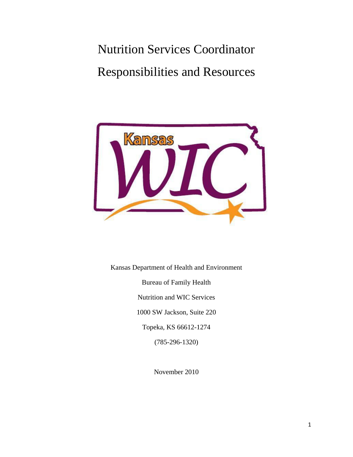# Nutrition Services Coordinator Responsibilities and Resources



Kansas Department of Health and Environment Bureau of Family Health Nutrition and WIC Services 1000 SW Jackson, Suite 220 Topeka, KS 66612-1274 (785-296-1320)

November 2010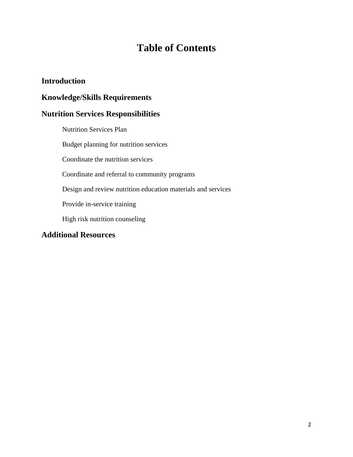## **Table of Contents**

#### **Introduction**

#### **Knowledge/Skills Requirements**

#### **Nutrition Services Responsibilities**

Nutrition Services Plan Budget planning for nutrition services Coordinate the nutrition services Coordinate and referral to community programs Design and review nutrition education materials and services Provide in-service training High risk nutrition counseling

#### **Additional Resources**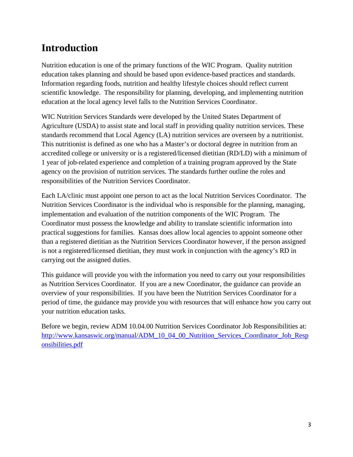## **Introduction**

Nutrition education is one of the primary functions of the WIC Program. Quality nutrition education takes planning and should be based upon evidence-based practices and standards. Information regarding foods, nutrition and healthy lifestyle choices should reflect current scientific knowledge. The responsibility for planning, developing, and implementing nutrition education at the local agency level falls to the Nutrition Services Coordinator.

WIC Nutrition Services Standards were developed by the United States Department of Agriculture (USDA) to assist state and local staff in providing quality nutrition services. These standards recommend that Local Agency (LA) nutrition services are overseen by a nutritionist. This nutritionist is defined as one who has a Master's or doctoral degree in nutrition from an accredited college or university or is a registered/licensed dietitian (RD/LD) with a minimum of 1 year of job-related experience and completion of a training program approved by the State agency on the provision of nutrition services. The standards further outline the roles and responsibilities of the Nutrition Services Coordinator.

Each LA/clinic must appoint one person to act as the local Nutrition Services Coordinator. The Nutrition Services Coordinator is the individual who is responsible for the planning, managing, implementation and evaluation of the nutrition components of the WIC Program. The Coordinator must possess the knowledge and ability to translate scientific information into practical suggestions for families. Kansas does allow local agencies to appoint someone other than a registered dietitian as the Nutrition Services Coordinator however, if the person assigned is not a registered/licensed dietitian, they must work in conjunction with the agency's RD in carrying out the assigned duties.

This guidance will provide you with the information you need to carry out your responsibilities as Nutrition Services Coordinator. If you are a new Coordinator, the guidance can provide an overview of your responsibilities. If you have been the Nutrition Services Coordinator for a period of time, the guidance may provide you with resources that will enhance how you carry out your nutrition education tasks.

Before we begin, review ADM 10.04.00 Nutrition Services Coordinator Job Responsibilities at: [http://www.kansaswic.org/manual/ADM\\_10\\_04\\_00\\_Nutrition\\_Services\\_Coordinator\\_Job\\_Resp](http://www.kansaswic.org/manual/ADM_10_04_00_Nutrition_Services_Coordinator_Job_Responsibilities.pdf) [onsibilities.pdf](http://www.kansaswic.org/manual/ADM_10_04_00_Nutrition_Services_Coordinator_Job_Responsibilities.pdf)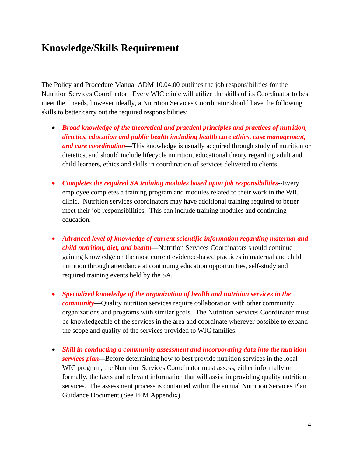### **Knowledge/Skills Requirement**

The Policy and Procedure Manual ADM 10.04.00 outlines the job responsibilities for the Nutrition Services Coordinator. Every WIC clinic will utilize the skills of its Coordinator to best meet their needs, however ideally, a Nutrition Services Coordinator should have the following skills to better carry out the required responsibilities:

- *Broad knowledge of the theoretical and practical principles and practices of nutrition, dietetics, education and public health including health care ethics, case management, and care coordination*—This knowledge is usually acquired through study of nutrition or dietetics, and should include lifecycle nutrition, educational theory regarding adult and child learners, ethics and skills in coordination of services delivered to clients.
- *Completes the required SA training modules based upon job responsibilities*--Every employee completes a training program and modules related to their work in the WIC clinic. Nutrition services coordinators may have additional training required to better meet their job responsibilities. This can include training modules and continuing education.
- *Advanced level of knowledge of current scientific information regarding maternal and child nutrition, diet, and health*—Nutrition Services Coordinators should continue gaining knowledge on the most current evidence-based practices in maternal and child nutrition through attendance at continuing education opportunities, self-study and required training events held by the SA.
- *Specialized knowledge of the organization of health and nutrition services in the community*—Quality nutrition services require collaboration with other community organizations and programs with similar goals. The Nutrition Services Coordinator must be knowledgeable of the services in the area and coordinate wherever possible to expand the scope and quality of the services provided to WIC families.
- *Skill in conducting a community assessment and incorporating data into the nutrition services plan—*Before determining how to best provide nutrition services in the local WIC program, the Nutrition Services Coordinator must assess, either informally or formally, the facts and relevant information that will assist in providing quality nutrition services. The assessment process is contained within the annual Nutrition Services Plan Guidance Document (See PPM Appendix).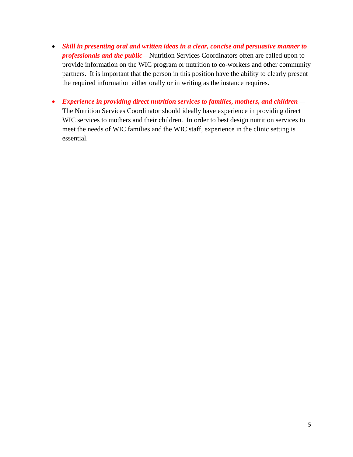- *Skill in presenting oral and written ideas in a clear, concise and persuasive manner to professionals and the public*—Nutrition Services Coordinators often are called upon to provide information on the WIC program or nutrition to co-workers and other community partners. It is important that the person in this position have the ability to clearly present the required information either orally or in writing as the instance requires.
- *Experience in providing direct nutrition services to families, mothers, and children* The Nutrition Services Coordinator should ideally have experience in providing direct WIC services to mothers and their children. In order to best design nutrition services to meet the needs of WIC families and the WIC staff, experience in the clinic setting is essential.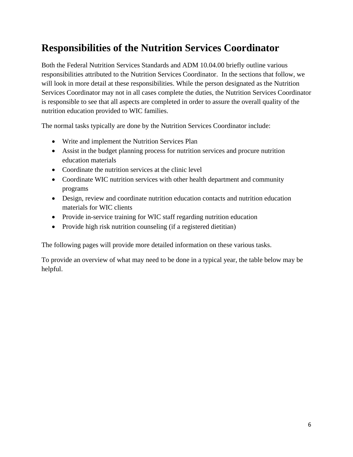## **Responsibilities of the Nutrition Services Coordinator**

Both the Federal Nutrition Services Standards and ADM 10.04.00 briefly outline various responsibilities attributed to the Nutrition Services Coordinator. In the sections that follow, we will look in more detail at these responsibilities. While the person designated as the Nutrition Services Coordinator may not in all cases complete the duties, the Nutrition Services Coordinator is responsible to see that all aspects are completed in order to assure the overall quality of the nutrition education provided to WIC families.

The normal tasks typically are done by the Nutrition Services Coordinator include:

- Write and implement the Nutrition Services Plan
- Assist in the budget planning process for nutrition services and procure nutrition education materials
- Coordinate the nutrition services at the clinic level
- Coordinate WIC nutrition services with other health department and community programs
- Design, review and coordinate nutrition education contacts and nutrition education materials for WIC clients
- Provide in-service training for WIC staff regarding nutrition education
- Provide high risk nutrition counseling (if a registered dietitian)

The following pages will provide more detailed information on these various tasks.

To provide an overview of what may need to be done in a typical year, the table below may be helpful.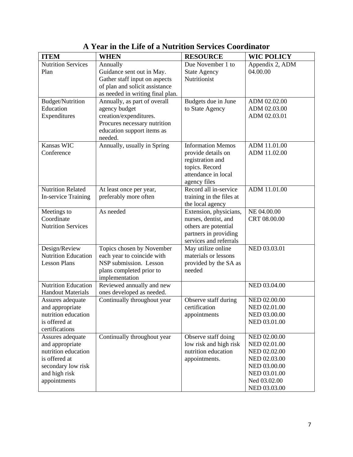| <b>ITEM</b>                            | <b>WHEN</b>                                            | <b>RESOURCE</b>                                | <b>WIC POLICY</b>            |
|----------------------------------------|--------------------------------------------------------|------------------------------------------------|------------------------------|
| <b>Nutrition Services</b>              | Annually                                               | Due November 1 to                              | Appendix 2, ADM              |
| Plan                                   | Guidance sent out in May.                              | <b>State Agency</b>                            | 04.00.00                     |
|                                        | Gather staff input on aspects                          | Nutritionist                                   |                              |
|                                        | of plan and solicit assistance                         |                                                |                              |
|                                        | as needed in writing final plan.                       |                                                |                              |
| <b>Budget/Nutrition</b>                | Annually, as part of overall                           | Budgets due in June                            | ADM 02.02.00                 |
| Education                              | agency budget                                          | to State Agency                                | ADM 02.03.00                 |
| Expenditures                           | creation/expenditures.<br>Procures necessary nutrition |                                                | ADM 02.03.01                 |
|                                        | education support items as                             |                                                |                              |
|                                        | needed.                                                |                                                |                              |
| Kansas WIC                             | Annually, usually in Spring                            | <b>Information Memos</b>                       | ADM 11.01.00                 |
| Conference                             |                                                        | provide details on                             | ADM 11.02.00                 |
|                                        |                                                        | registration and                               |                              |
|                                        |                                                        | topics. Record                                 |                              |
|                                        |                                                        | attendance in local                            |                              |
|                                        |                                                        | agency files                                   |                              |
| <b>Nutrition Related</b>               | At least once per year,                                | Record all in-service                          | ADM 11.01.00                 |
| <b>In-service Training</b>             | preferably more often                                  | training in the files at                       |                              |
|                                        | As needed                                              | the local agency                               |                              |
| Meetings to<br>Coordinate              |                                                        | Extension, physicians,<br>nurses, dentist, and | NE 04.00.00<br>CRT 08.00.00  |
| <b>Nutrition Services</b>              |                                                        | others are potential                           |                              |
|                                        |                                                        | partners in providing                          |                              |
|                                        |                                                        | services and referrals                         |                              |
| Design/Review                          | Topics chosen by November                              | May utilize online                             | NED 03.03.01                 |
| <b>Nutrition Education</b>             | each year to coincide with                             | materials or lessons                           |                              |
| <b>Lesson Plans</b>                    | NSP submission. Lesson                                 | provided by the SA as                          |                              |
|                                        | plans completed prior to                               | needed                                         |                              |
|                                        | implementation                                         |                                                |                              |
| <b>Nutrition Education</b>             | Reviewed annually and new                              |                                                | NED 03.04.00                 |
| <b>Handout Materials</b>               | ones developed as needed.                              |                                                |                              |
| Assures adequate                       | Continually throughout year                            | Observe staff during<br>certification          | NED 02.00.00                 |
| and appropriate<br>nutrition education |                                                        | appointments                                   | NED 02.01.00<br>NED 03.00.00 |
| is offered at                          |                                                        |                                                | NED 03.01.00                 |
| certifications                         |                                                        |                                                |                              |
| Assures adequate                       | Continually throughout year                            | Observe staff doing                            | NED 02.00.00                 |
| and appropriate                        |                                                        | low risk and high risk                         | NED 02.01.00                 |
| nutrition education                    |                                                        | nutrition education                            | NED 02.02.00                 |
| is offered at                          |                                                        | appointments.                                  | NED 02.03.00                 |
| secondary low risk                     |                                                        |                                                | NED 03.00.00                 |
| and high risk                          |                                                        |                                                | NED 03.01.00                 |
| appointments                           |                                                        |                                                | Ned 03.02.00                 |
|                                        |                                                        |                                                | NED 03.03.00                 |

**A Year in the Life of a Nutrition Services Coordinator**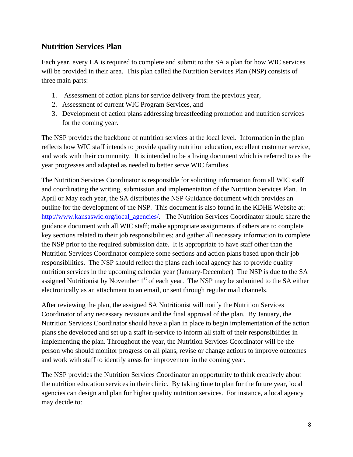#### **Nutrition Services Plan**

Each year, every LA is required to complete and submit to the SA a plan for how WIC services will be provided in their area. This plan called the Nutrition Services Plan (NSP) consists of three main parts:

- 1. Assessment of action plans for service delivery from the previous year,
- 2. Assessment of current WIC Program Services, and
- 3. Development of action plans addressing breastfeeding promotion and nutrition services for the coming year.

The NSP provides the backbone of nutrition services at the local level. Information in the plan reflects how WIC staff intends to provide quality nutrition education, excellent customer service, and work with their community. It is intended to be a living document which is referred to as the year progresses and adapted as needed to better serve WIC families.

The Nutrition Services Coordinator is responsible for soliciting information from all WIC staff and coordinating the writing, submission and implementation of the Nutrition Services Plan. In April or May each year, the SA distributes the NSP Guidance document which provides an outline for the development of the NSP. This document is also found in the KDHE Website at: [http://www.kansaswic.org/local\\_agencies/.](http://www.kansaswic.org/local_agencies/) The Nutrition Services Coordinator should share the guidance document with all WIC staff; make appropriate assignments if others are to complete key sections related to their job responsibilities; and gather all necessary information to complete the NSP prior to the required submission date. It is appropriate to have staff other than the Nutrition Services Coordinator complete some sections and action plans based upon their job responsibilities. The NSP should reflect the plans each local agency has to provide quality nutrition services in the upcoming calendar year (January-December) The NSP is due to the SA assigned Nutritionist by November  $1<sup>st</sup>$  of each year. The NSP may be submitted to the SA either electronically as an attachment to an email, or sent through regular mail channels.

After reviewing the plan, the assigned SA Nutritionist will notify the Nutrition Services Coordinator of any necessary revisions and the final approval of the plan. By January, the Nutrition Services Coordinator should have a plan in place to begin implementation of the action plans she developed and set up a staff in-service to inform all staff of their responsibilities in implementing the plan. Throughout the year, the Nutrition Services Coordinator will be the person who should monitor progress on all plans, revise or change actions to improve outcomes and work with staff to identify areas for improvement in the coming year.

The NSP provides the Nutrition Services Coordinator an opportunity to think creatively about the nutrition education services in their clinic. By taking time to plan for the future year, local agencies can design and plan for higher quality nutrition services. For instance, a local agency may decide to: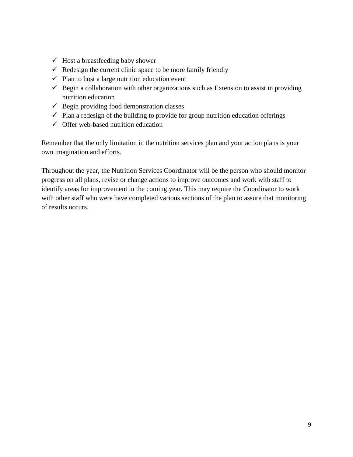- $\checkmark$  Host a breastfeeding baby shower
- $\checkmark$  Redesign the current clinic space to be more family friendly
- $\checkmark$  Plan to host a large nutrition education event
- $\checkmark$  Begin a collaboration with other organizations such as Extension to assist in providing nutrition education
- $\checkmark$  Begin providing food demonstration classes
- $\checkmark$  Plan a redesign of the building to provide for group nutrition education offerings
- $\checkmark$  Offer web-based nutrition education

Remember that the only limitation in the nutrition services plan and your action plans is your own imagination and efforts.

Throughout the year, the Nutrition Services Coordinator will be the person who should monitor progress on all plans, revise or change actions to improve outcomes and work with staff to identify areas for improvement in the coming year. This may require the Coordinator to work with other staff who were have completed various sections of the plan to assure that monitoring of results occurs.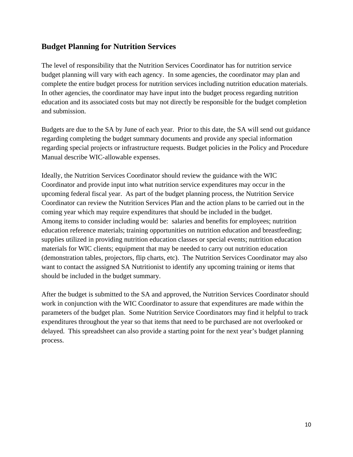#### **Budget Planning for Nutrition Services**

The level of responsibility that the Nutrition Services Coordinator has for nutrition service budget planning will vary with each agency. In some agencies, the coordinator may plan and complete the entire budget process for nutrition services including nutrition education materials. In other agencies, the coordinator may have input into the budget process regarding nutrition education and its associated costs but may not directly be responsible for the budget completion and submission.

Budgets are due to the SA by June of each year. Prior to this date, the SA will send out guidance regarding completing the budget summary documents and provide any special information regarding special projects or infrastructure requests. Budget policies in the Policy and Procedure Manual describe WIC-allowable expenses.

Ideally, the Nutrition Services Coordinator should review the guidance with the WIC Coordinator and provide input into what nutrition service expenditures may occur in the upcoming federal fiscal year. As part of the budget planning process, the Nutrition Service Coordinator can review the Nutrition Services Plan and the action plans to be carried out in the coming year which may require expenditures that should be included in the budget. Among items to consider including would be: salaries and benefits for employees; nutrition education reference materials; training opportunities on nutrition education and breastfeeding; supplies utilized in providing nutrition education classes or special events; nutrition education materials for WIC clients; equipment that may be needed to carry out nutrition education (demonstration tables, projectors, flip charts, etc). The Nutrition Services Coordinator may also want to contact the assigned SA Nutritionist to identify any upcoming training or items that should be included in the budget summary.

After the budget is submitted to the SA and approved, the Nutrition Services Coordinator should work in conjunction with the WIC Coordinator to assure that expenditures are made within the parameters of the budget plan. Some Nutrition Service Coordinators may find it helpful to track expenditures throughout the year so that items that need to be purchased are not overlooked or delayed. This spreadsheet can also provide a starting point for the next year's budget planning process.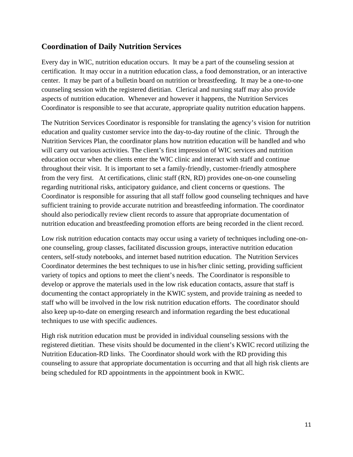#### **Coordination of Daily Nutrition Services**

Every day in WIC, nutrition education occurs. It may be a part of the counseling session at certification. It may occur in a nutrition education class, a food demonstration, or an interactive center. It may be part of a bulletin board on nutrition or breastfeeding. It may be a one-to-one counseling session with the registered dietitian. Clerical and nursing staff may also provide aspects of nutrition education. Whenever and however it happens, the Nutrition Services Coordinator is responsible to see that accurate, appropriate quality nutrition education happens.

The Nutrition Services Coordinator is responsible for translating the agency's vision for nutrition education and quality customer service into the day-to-day routine of the clinic. Through the Nutrition Services Plan, the coordinator plans how nutrition education will be handled and who will carry out various activities. The client's first impression of WIC services and nutrition education occur when the clients enter the WIC clinic and interact with staff and continue throughout their visit. It is important to set a family-friendly, customer-friendly atmosphere from the very first. At certifications, clinic staff (RN, RD) provides one-on-one counseling regarding nutritional risks, anticipatory guidance, and client concerns or questions. The Coordinator is responsible for assuring that all staff follow good counseling techniques and have sufficient training to provide accurate nutrition and breastfeeding information. The coordinator should also periodically review client records to assure that appropriate documentation of nutrition education and breastfeeding promotion efforts are being recorded in the client record.

Low risk nutrition education contacts may occur using a variety of techniques including one-onone counseling, group classes, facilitated discussion groups, interactive nutrition education centers, self-study notebooks, and internet based nutrition education. The Nutrition Services Coordinator determines the best techniques to use in his/her clinic setting, providing sufficient variety of topics and options to meet the client's needs. The Coordinator is responsible to develop or approve the materials used in the low risk education contacts, assure that staff is documenting the contact appropriately in the KWIC system, and provide training as needed to staff who will be involved in the low risk nutrition education efforts. The coordinator should also keep up-to-date on emerging research and information regarding the best educational techniques to use with specific audiences.

High risk nutrition education must be provided in individual counseling sessions with the registered dietitian. These visits should be documented in the client's KWIC record utilizing the Nutrition Education-RD links. The Coordinator should work with the RD providing this counseling to assure that appropriate documentation is occurring and that all high risk clients are being scheduled for RD appointments in the appointment book in KWIC.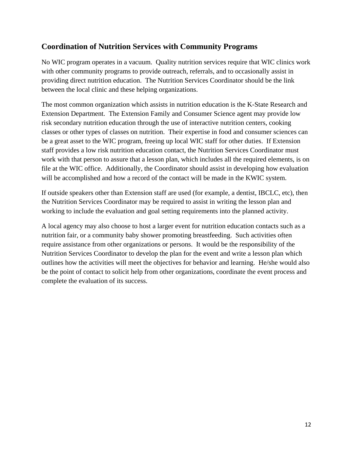#### **Coordination of Nutrition Services with Community Programs**

No WIC program operates in a vacuum. Quality nutrition services require that WIC clinics work with other community programs to provide outreach, referrals, and to occasionally assist in providing direct nutrition education. The Nutrition Services Coordinator should be the link between the local clinic and these helping organizations.

The most common organization which assists in nutrition education is the K-State Research and Extension Department. The Extension Family and Consumer Science agent may provide low risk secondary nutrition education through the use of interactive nutrition centers, cooking classes or other types of classes on nutrition. Their expertise in food and consumer sciences can be a great asset to the WIC program, freeing up local WIC staff for other duties. If Extension staff provides a low risk nutrition education contact, the Nutrition Services Coordinator must work with that person to assure that a lesson plan, which includes all the required elements, is on file at the WIC office. Additionally, the Coordinator should assist in developing how evaluation will be accomplished and how a record of the contact will be made in the KWIC system.

If outside speakers other than Extension staff are used (for example, a dentist, IBCLC, etc), then the Nutrition Services Coordinator may be required to assist in writing the lesson plan and working to include the evaluation and goal setting requirements into the planned activity.

A local agency may also choose to host a larger event for nutrition education contacts such as a nutrition fair, or a community baby shower promoting breastfeeding. Such activities often require assistance from other organizations or persons. It would be the responsibility of the Nutrition Services Coordinator to develop the plan for the event and write a lesson plan which outlines how the activities will meet the objectives for behavior and learning. He/she would also be the point of contact to solicit help from other organizations, coordinate the event process and complete the evaluation of its success.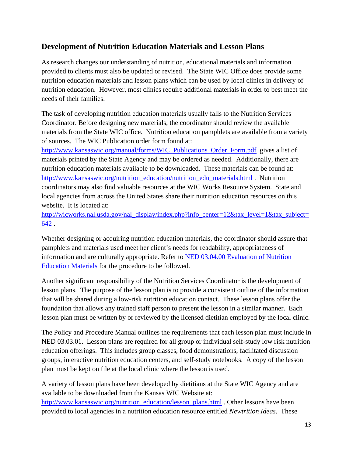#### **Development of Nutrition Education Materials and Lesson Plans**

As research changes our understanding of nutrition, educational materials and information provided to clients must also be updated or revised. The State WIC Office does provide some nutrition education materials and lesson plans which can be used by local clinics in delivery of nutrition education. However, most clinics require additional materials in order to best meet the needs of their families.

The task of developing nutrition education materials usually falls to the Nutrition Services Coordinator. Before designing new materials, the coordinator should review the available materials from the State WIC office. Nutrition education pamphlets are available from a variety of sources. The WIC Publication order form found at:

[http://www.kansaswic.org/manual/forms/WIC\\_Publications\\_Order\\_Form.pdf](http://www.kansaswic.org/manual/forms/WIC_Publications_Order_Form.pdf) gives a list of materials printed by the State Agency and may be ordered as needed. Additionally, there are nutrition education materials available to be downloaded. These materials can be found at: [http://www.kansaswic.org/nutrition\\_education/nutrition\\_edu\\_materials.html](http://www.kansaswic.org/nutrition_education/nutrition_edu_materials.html) . Nutrition coordinators may also find valuable resources at the WIC Works Resource System. State and local agencies from across the United States share their nutrition education resources on this website. It is located at:

[http://wicworks.nal.usda.gov/nal\\_display/index.php?info\\_center=12&tax\\_level=1&tax\\_subject=](http://wicworks.nal.usda.gov/nal_display/index.php?info_center=12&tax_level=1&tax_subject=642) [642](http://wicworks.nal.usda.gov/nal_display/index.php?info_center=12&tax_level=1&tax_subject=642) .

Whether designing or acquiring nutrition education materials, the coordinator should assure that pamphlets and materials used meet her client's needs for readability, appropriateness of information and are culturally appropriate. Refer to [NED 03.04.00 Evaluation of Nutrition](http://www.kansaswic.org/manual/NED_03_04_00_Evaluation_of_Nutrition_Education_Materials.pdf)  [Education Materials](http://www.kansaswic.org/manual/NED_03_04_00_Evaluation_of_Nutrition_Education_Materials.pdf) for the procedure to be followed.

Another significant responsibility of the Nutrition Services Coordinator is the development of lesson plans. The purpose of the lesson plan is to provide a consistent outline of the information that will be shared during a low-risk nutrition education contact. These lesson plans offer the foundation that allows any trained staff person to present the lesson in a similar manner. Each lesson plan must be written by or reviewed by the licensed dietitian employed by the local clinic.

The Policy and Procedure Manual outlines the requirements that each lesson plan must include in NED 03.03.01. Lesson plans are required for all group or individual self-study low risk nutrition education offerings. This includes group classes, food demonstrations, facilitated discussion groups, interactive nutrition education centers, and self-study notebooks. A copy of the lesson plan must be kept on file at the local clinic where the lesson is used.

A variety of lesson plans have been developed by dietitians at the State WIC Agency and are available to be downloaded from the Kansas WIC Website at: [http://www.kansaswic.org/nutrition\\_education/lesson\\_plans.html](http://www.kansaswic.org/nutrition_education/lesson_plans.html) . Other lessons have been provided to local agencies in a nutrition education resource entitled *Newtrition Ideas*. These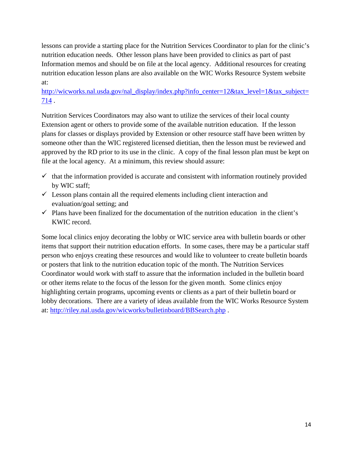lessons can provide a starting place for the Nutrition Services Coordinator to plan for the clinic's nutrition education needs. Other lesson plans have been provided to clinics as part of past Information memos and should be on file at the local agency. Additional resources for creating nutrition education lesson plans are also available on the WIC Works Resource System website at:

#### [http://wicworks.nal.usda.gov/nal\\_display/index.php?info\\_center=12&tax\\_level=1&tax\\_subject=](http://wicworks.nal.usda.gov/nal_display/index.php?info_center=12&tax_level=1&tax_subject=714) [714](http://wicworks.nal.usda.gov/nal_display/index.php?info_center=12&tax_level=1&tax_subject=714) .

Nutrition Services Coordinators may also want to utilize the services of their local county Extension agent or others to provide some of the available nutrition education. If the lesson plans for classes or displays provided by Extension or other resource staff have been written by someone other than the WIC registered licensed dietitian, then the lesson must be reviewed and approved by the RD prior to its use in the clinic. A copy of the final lesson plan must be kept on file at the local agency. At a minimum, this review should assure:

- $\checkmark$  that the information provided is accurate and consistent with information routinely provided by WIC staff;
- $\checkmark$  Lesson plans contain all the required elements including client interaction and evaluation/goal setting; and
- $\checkmark$  Plans have been finalized for the documentation of the nutrition education in the client's KWIC record.

Some local clinics enjoy decorating the lobby or WIC service area with bulletin boards or other items that support their nutrition education efforts. In some cases, there may be a particular staff person who enjoys creating these resources and would like to volunteer to create bulletin boards or posters that link to the nutrition education topic of the month. The Nutrition Services Coordinator would work with staff to assure that the information included in the bulletin board or other items relate to the focus of the lesson for the given month. Some clinics enjoy highlighting certain programs, upcoming events or clients as a part of their bulletin board or lobby decorations. There are a variety of ideas available from the WIC Works Resource System at:<http://riley.nal.usda.gov/wicworks/bulletinboard/BBSearch.php> .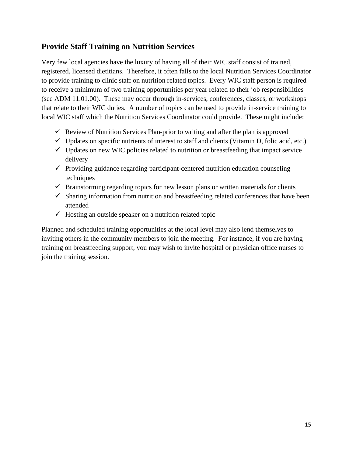#### **Provide Staff Training on Nutrition Services**

Very few local agencies have the luxury of having all of their WIC staff consist of trained, registered, licensed dietitians. Therefore, it often falls to the local Nutrition Services Coordinator to provide training to clinic staff on nutrition related topics. Every WIC staff person is required to receive a minimum of two training opportunities per year related to their job responsibilities (see ADM 11.01.00). These may occur through in-services, conferences, classes, or workshops that relate to their WIC duties. A number of topics can be used to provide in-service training to local WIC staff which the Nutrition Services Coordinator could provide. These might include:

- $\checkmark$  Review of Nutrition Services Plan-prior to writing and after the plan is approved
- $\checkmark$  Updates on specific nutrients of interest to staff and clients (Vitamin D, folic acid, etc.)
- $\checkmark$  Updates on new WIC policies related to nutrition or breastfeeding that impact service delivery
- $\checkmark$  Providing guidance regarding participant-centered nutrition education counseling techniques
- $\checkmark$  Brainstorming regarding topics for new lesson plans or written materials for clients
- $\checkmark$  Sharing information from nutrition and breastfeeding related conferences that have been attended
- $\checkmark$  Hosting an outside speaker on a nutrition related topic

Planned and scheduled training opportunities at the local level may also lend themselves to inviting others in the community members to join the meeting. For instance, if you are having training on breastfeeding support, you may wish to invite hospital or physician office nurses to join the training session.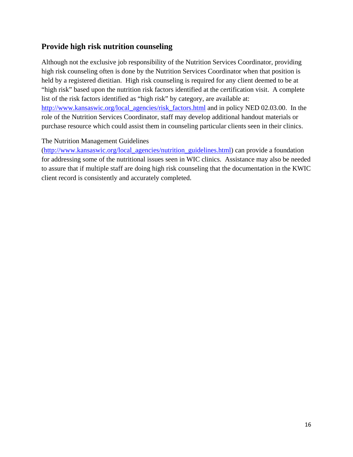#### **Provide high risk nutrition counseling**

Although not the exclusive job responsibility of the Nutrition Services Coordinator, providing high risk counseling often is done by the Nutrition Services Coordinator when that position is held by a registered dietitian. High risk counseling is required for any client deemed to be at "high risk" based upon the nutrition risk factors identified at the certification visit. A complete list of the risk factors identified as "high risk" by category, are available at: [http://www.kansaswic.org/local\\_agencies/risk\\_factors.html](http://www.kansaswic.org/local_agencies/risk_factors.html) and in policy NED 02.03.00. In the role of the Nutrition Services Coordinator, staff may develop additional handout materials or purchase resource which could assist them in counseling particular clients seen in their clinics.

#### The Nutrition Management Guidelines

[\(http://www.kansaswic.org/local\\_agencies/nutrition\\_guidelines.html\)](http://www.kansaswic.org/local_agencies/nutrition_guidelines.html) can provide a foundation for addressing some of the nutritional issues seen in WIC clinics. Assistance may also be needed to assure that if multiple staff are doing high risk counseling that the documentation in the KWIC client record is consistently and accurately completed.